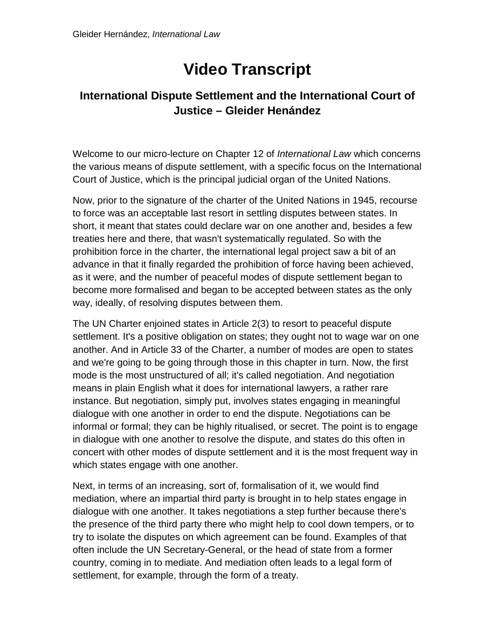## **Video Transcript**

## **International Dispute Settlement and the International Court of Justice – Gleider Henández**

Welcome to our micro-lecture on Chapter 12 of *International Law* which concerns the various means of dispute settlement, with a specific focus on the International Court of Justice, which is the principal judicial organ of the United Nations.

Now, prior to the signature of the charter of the United Nations in 1945, recourse to force was an acceptable last resort in settling disputes between states. In short, it meant that states could declare war on one another and, besides a few treaties here and there, that wasn't systematically regulated. So with the prohibition force in the charter, the international legal project saw a bit of an advance in that it finally regarded the prohibition of force having been achieved, as it were, and the number of peaceful modes of dispute settlement began to become more formalised and began to be accepted between states as the only way, ideally, of resolving disputes between them.

The UN Charter enjoined states in Article 2(3) to resort to peaceful dispute settlement. It's a positive obligation on states; they ought not to wage war on one another. And in Article 33 of the Charter, a number of modes are open to states and we're going to be going through those in this chapter in turn. Now, the first mode is the most unstructured of all; it's called negotiation. And negotiation means in plain English what it does for international lawyers, a rather rare instance. But negotiation, simply put, involves states engaging in meaningful dialogue with one another in order to end the dispute. Negotiations can be informal or formal; they can be highly ritualised, or secret. The point is to engage in dialogue with one another to resolve the dispute, and states do this often in concert with other modes of dispute settlement and it is the most frequent way in which states engage with one another.

Next, in terms of an increasing, sort of, formalisation of it, we would find mediation, where an impartial third party is brought in to help states engage in dialogue with one another. It takes negotiations a step further because there's the presence of the third party there who might help to cool down tempers, or to try to isolate the disputes on which agreement can be found. Examples of that often include the UN Secretary-General, or the head of state from a former country, coming in to mediate. And mediation often leads to a legal form of settlement, for example, through the form of a treaty.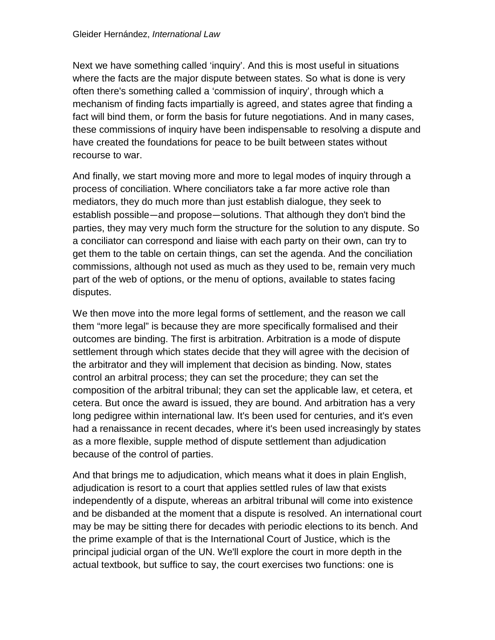Next we have something called 'inquiry'. And this is most useful in situations where the facts are the major dispute between states. So what is done is very often there's something called a 'commission of inquiry', through which a mechanism of finding facts impartially is agreed, and states agree that finding a fact will bind them, or form the basis for future negotiations. And in many cases, these commissions of inquiry have been indispensable to resolving a dispute and have created the foundations for peace to be built between states without recourse to war.

And finally, we start moving more and more to legal modes of inquiry through a process of conciliation. Where conciliators take a far more active role than mediators, they do much more than just establish dialogue, they seek to establish possible—and propose—solutions. That although they don't bind the parties, they may very much form the structure for the solution to any dispute. So a conciliator can correspond and liaise with each party on their own, can try to get them to the table on certain things, can set the agenda. And the conciliation commissions, although not used as much as they used to be, remain very much part of the web of options, or the menu of options, available to states facing disputes.

We then move into the more legal forms of settlement, and the reason we call them "more legal" is because they are more specifically formalised and their outcomes are binding. The first is arbitration. Arbitration is a mode of dispute settlement through which states decide that they will agree with the decision of the arbitrator and they will implement that decision as binding. Now, states control an arbitral process; they can set the procedure; they can set the composition of the arbitral tribunal; they can set the applicable law, et cetera, et cetera. But once the award is issued, they are bound. And arbitration has a very long pedigree within international law. It's been used for centuries, and it's even had a renaissance in recent decades, where it's been used increasingly by states as a more flexible, supple method of dispute settlement than adjudication because of the control of parties.

And that brings me to adjudication, which means what it does in plain English, adjudication is resort to a court that applies settled rules of law that exists independently of a dispute, whereas an arbitral tribunal will come into existence and be disbanded at the moment that a dispute is resolved. An international court may be may be sitting there for decades with periodic elections to its bench. And the prime example of that is the International Court of Justice, which is the principal judicial organ of the UN. We'll explore the court in more depth in the actual textbook, but suffice to say, the court exercises two functions: one is